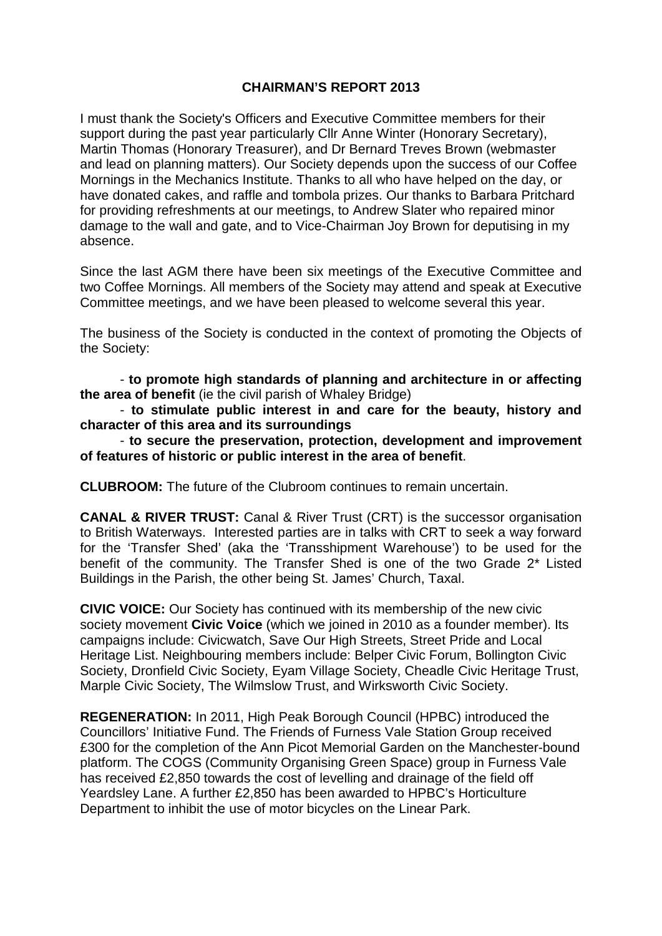## **CHAIRMAN'S REPORT 2013**

I must thank the Society's Officers and Executive Committee members for their support during the past year particularly Cllr Anne Winter (Honorary Secretary), Martin Thomas (Honorary Treasurer), and Dr Bernard Treves Brown (webmaster and lead on planning matters). Our Society depends upon the success of our Coffee Mornings in the Mechanics Institute. Thanks to all who have helped on the day, or have donated cakes, and raffle and tombola prizes. Our thanks to Barbara Pritchard for providing refreshments at our meetings, to Andrew Slater who repaired minor damage to the wall and gate, and to Vice-Chairman Joy Brown for deputising in my absence.

Since the last AGM there have been six meetings of the Executive Committee and two Coffee Mornings. All members of the Society may attend and speak at Executive Committee meetings, and we have been pleased to welcome several this year.

The business of the Society is conducted in the context of promoting the Objects of the Society:

- **to promote high standards of planning and architecture in or affecting the area of benefit** (ie the civil parish of Whaley Bridge)

- **to stimulate public interest in and care for the beauty, history and character of this area and its surroundings**

- **to secure the preservation, protection, development and improvement of features of historic or public interest in the area of benefit**.

**CLUBROOM:** The future of the Clubroom continues to remain uncertain.

**CANAL & RIVER TRUST:** Canal & River Trust (CRT) is the successor organisation to British Waterways. Interested parties are in talks with CRT to seek a way forward for the 'Transfer Shed' (aka the 'Transshipment Warehouse') to be used for the benefit of the community. The Transfer Shed is one of the two Grade 2\* Listed Buildings in the Parish, the other being St. James' Church, Taxal.

**CIVIC VOICE:** Our Society has continued with its membership of the new civic society movement **Civic Voice** (which we joined in 2010 as a founder member). Its campaigns include: Civicwatch, Save Our High Streets, Street Pride and Local Heritage List. Neighbouring members include: Belper Civic Forum, Bollington Civic Society, Dronfield Civic Society, Eyam Village Society, Cheadle Civic Heritage Trust, Marple Civic Society, The Wilmslow Trust, and Wirksworth Civic Society.

**REGENERATION:** In 2011, High Peak Borough Council (HPBC) introduced the Councillors' Initiative Fund. The Friends of Furness Vale Station Group received £300 for the completion of the Ann Picot Memorial Garden on the Manchester-bound platform. The COGS (Community Organising Green Space) group in Furness Vale has received £2,850 towards the cost of levelling and drainage of the field off Yeardsley Lane. A further £2,850 has been awarded to HPBC's Horticulture Department to inhibit the use of motor bicycles on the Linear Park.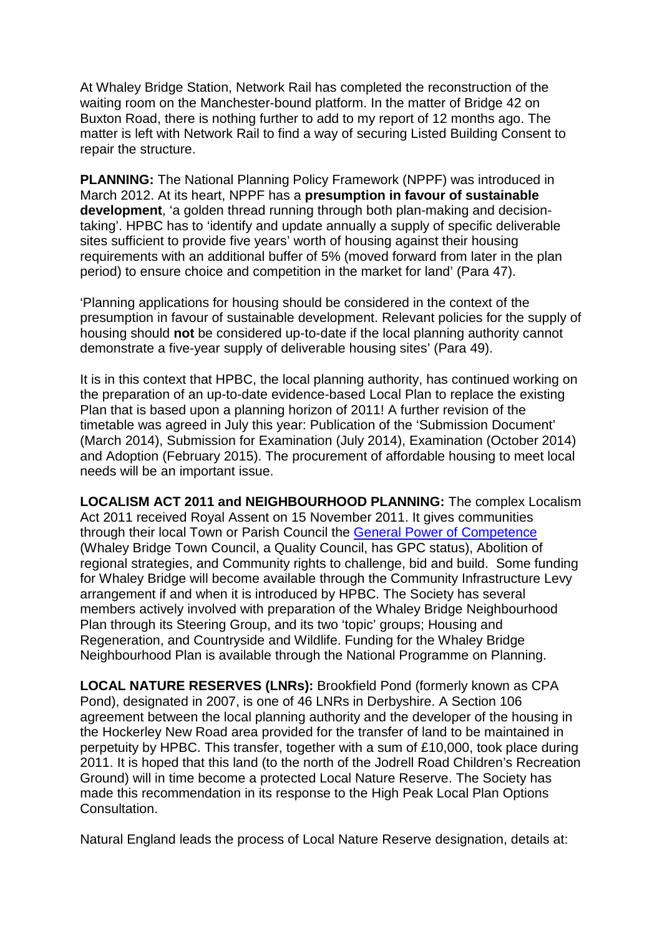At Whaley Bridge Station, Network Rail has completed the reconstruction of the waiting room on the Manchester-bound platform. In the matter of Bridge 42 on Buxton Road, there is nothing further to add to my report of 12 months ago. The matter is left with Network Rail to find a way of securing Listed Building Consent to repair the structure.

**PLANNING:** The National Planning Policy Framework (NPPF) was introduced in March 2012. At its heart, NPPF has a **presumption in favour of sustainable development**, 'a golden thread running through both plan-making and decisiontaking'. HPBC has to 'identify and update annually a supply of specific deliverable sites sufficient to provide five years' worth of housing against their housing requirements with an additional buffer of 5% (moved forward from later in the plan period) to ensure choice and competition in the market for land' (Para 47).

'Planning applications for housing should be considered in the context of the presumption in favour of sustainable development. Relevant policies for the supply of housing should **not** be considered up-to-date if the local planning authority cannot demonstrate a five-year supply of deliverable housing sites' (Para 49).

It is in this context that HPBC, the local planning authority, has continued working on the preparation of an up-to-date evidence-based Local Plan to replace the existing Plan that is based upon a planning horizon of 2011! A further revision of the timetable was agreed in July this year: Publication of the 'Submission Document' (March 2014), Submission for Examination (July 2014), Examination (October 2014) and Adoption (February 2015). The procurement of affordable housing to meet local needs will be an important issue.

**LOCALISM ACT 2011 and NEIGHBOURHOOD PLANNING:** The complex Localism Act 2011 received Royal Assent on 15 November 2011. It gives communities through their local Town or Parish Council the [General Power of Competence](http://www.legislation.gov.uk/ukpga/2011/20/section/1/enacted) (Whaley Bridge Town Council, a Quality Council, has GPC status), Abolition of regional strategies, and Community rights to challenge, bid and build. Some funding for Whaley Bridge will become available through the Community Infrastructure Levy arrangement if and when it is introduced by HPBC. The Society has several members actively involved with preparation of the Whaley Bridge Neighbourhood Plan through its Steering Group, and its two 'topic' groups; Housing and Regeneration, and Countryside and Wildlife. Funding for the Whaley Bridge Neighbourhood Plan is available through the National Programme on Planning.

**LOCAL NATURE RESERVES (LNRs):** Brookfield Pond (formerly known as CPA Pond), designated in 2007, is one of 46 LNRs in Derbyshire. A Section 106 agreement between the local planning authority and the developer of the housing in the Hockerley New Road area provided for the transfer of land to be maintained in perpetuity by HPBC. This transfer, together with a sum of £10,000, took place during 2011. It is hoped that this land (to the north of the Jodrell Road Children's Recreation Ground) will in time become a protected Local Nature Reserve. The Society has made this recommendation in its response to the High Peak Local Plan Options Consultation.

Natural England leads the process of Local Nature Reserve designation, details at: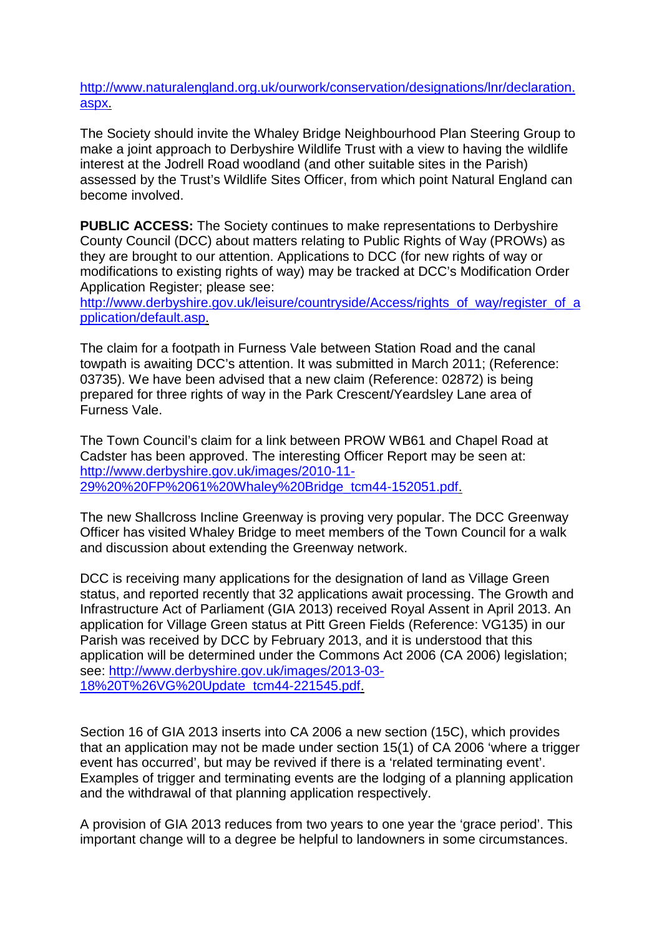[http://www.naturalengland.org.uk/ourwork/conservation/designations/lnr/declaration.](http://www.naturalengland.org.uk/ourwork/conservation/designations/lnr/declaration.aspx) [aspx.](http://www.naturalengland.org.uk/ourwork/conservation/designations/lnr/declaration.aspx)

The Society should invite the Whaley Bridge Neighbourhood Plan Steering Group to make a joint approach to Derbyshire Wildlife Trust with a view to having the wildlife interest at the Jodrell Road woodland (and other suitable sites in the Parish) assessed by the Trust's Wildlife Sites Officer, from which point Natural England can become involved.

**PUBLIC ACCESS:** The Society continues to make representations to Derbyshire County Council (DCC) about matters relating to Public Rights of Way (PROWs) as they are brought to our attention. Applications to DCC (for new rights of way or modifications to existing rights of way) may be tracked at DCC's Modification Order Application Register; please see:

[http://www.derbyshire.gov.uk/leisure/countryside/Access/rights\\_of\\_way/register\\_of\\_a](http://www.derbyshire.gov.uk/leisure/countryside/Access/rights_of_way/register_of_application/default.asp) [pplication/default.asp.](http://www.derbyshire.gov.uk/leisure/countryside/Access/rights_of_way/register_of_application/default.asp)

The claim for a footpath in Furness Vale between Station Road and the canal towpath is awaiting DCC's attention. It was submitted in March 2011; (Reference: 03735). We have been advised that a new claim (Reference: 02872) is being prepared for three rights of way in the Park Crescent/Yeardsley Lane area of Furness Vale.

The Town Council's claim for a link between PROW WB61 and Chapel Road at Cadster has been approved. The interesting Officer Report may be seen at: [http://www.derbyshire.gov.uk/images/2010-11-](http://www.derbyshire.gov.uk/images/2010-11-29%20%20FP%2061%20Whaley%20Bridge_tcm44-152051.pdf) [29%20%20FP%2061%20Whaley%20Bridge\\_tcm44-152051.pdf.](http://www.derbyshire.gov.uk/images/2010-11-29%20%20FP%2061%20Whaley%20Bridge_tcm44-152051.pdf)

The new Shallcross Incline Greenway is proving very popular. The DCC Greenway Officer has visited Whaley Bridge to meet members of the Town Council for a walk and discussion about extending the Greenway network.

DCC is receiving many applications for the designation of land as Village Green status, and reported recently that 32 applications await processing. The Growth and Infrastructure Act of Parliament (GIA 2013) received Royal Assent in April 2013. An application for Village Green status at Pitt Green Fields (Reference: VG135) in our Parish was received by DCC by February 2013, and it is understood that this application will be determined under the Commons Act 2006 (CA 2006) legislation; see: [http://www.derbyshire.gov.uk/images/2013-03-](http://www.derbyshire.gov.uk/images/2013-03-18%20T%26VG%20Update_tcm44-221545.pdf) [18%20T%26VG%20Update\\_tcm44-221545.pdf.](http://www.derbyshire.gov.uk/images/2013-03-18%20T%26VG%20Update_tcm44-221545.pdf)

Section 16 of GIA 2013 inserts into CA 2006 a new section (15C), which provides that an application may not be made under section 15(1) of CA 2006 'where a trigger event has occurred', but may be revived if there is a 'related terminating event'. Examples of trigger and terminating events are the lodging of a planning application and the withdrawal of that planning application respectively.

A provision of GIA 2013 reduces from two years to one year the 'grace period'. This important change will to a degree be helpful to landowners in some circumstances.